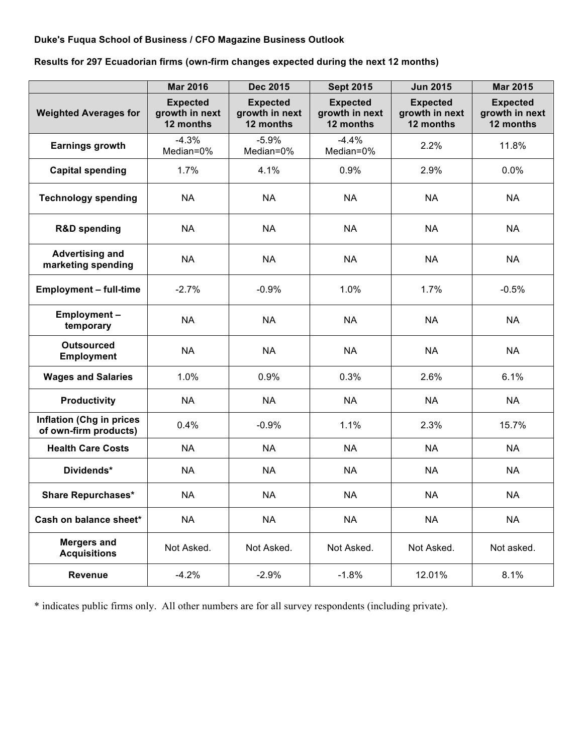## **Duke's Fuqua School of Business / CFO Magazine Business Outlook**

**Results for 297 Ecuadorian firms (own-firm changes expected during the next 12 months)**

|                                                          | <b>Mar 2016</b>                                | <b>Dec 2015</b>                                | <b>Sept 2015</b>                               | <b>Jun 2015</b>                                | <b>Mar 2015</b>                                |
|----------------------------------------------------------|------------------------------------------------|------------------------------------------------|------------------------------------------------|------------------------------------------------|------------------------------------------------|
| <b>Weighted Averages for</b>                             | <b>Expected</b><br>growth in next<br>12 months | <b>Expected</b><br>growth in next<br>12 months | <b>Expected</b><br>growth in next<br>12 months | <b>Expected</b><br>growth in next<br>12 months | <b>Expected</b><br>growth in next<br>12 months |
| <b>Earnings growth</b>                                   | $-4.3%$<br>Median=0%                           | $-5.9%$<br>Median=0%                           | $-4.4%$<br>Median=0%                           | 2.2%                                           | 11.8%                                          |
| <b>Capital spending</b>                                  | 1.7%                                           | 4.1%                                           | 0.9%                                           | 2.9%                                           | 0.0%                                           |
| <b>Technology spending</b>                               | <b>NA</b>                                      | <b>NA</b>                                      | <b>NA</b>                                      | <b>NA</b>                                      | <b>NA</b>                                      |
| <b>R&amp;D spending</b>                                  | <b>NA</b>                                      | <b>NA</b>                                      | <b>NA</b>                                      | <b>NA</b>                                      | <b>NA</b>                                      |
| <b>Advertising and</b><br>marketing spending             | <b>NA</b>                                      | <b>NA</b>                                      | <b>NA</b>                                      | <b>NA</b>                                      | <b>NA</b>                                      |
| <b>Employment - full-time</b>                            | $-2.7%$                                        | $-0.9%$                                        | 1.0%                                           | 1.7%                                           | $-0.5%$                                        |
| Employment-<br>temporary                                 | <b>NA</b>                                      | <b>NA</b>                                      | <b>NA</b>                                      | <b>NA</b>                                      | <b>NA</b>                                      |
| <b>Outsourced</b><br><b>Employment</b>                   | <b>NA</b>                                      | <b>NA</b>                                      | <b>NA</b>                                      | <b>NA</b>                                      | <b>NA</b>                                      |
| <b>Wages and Salaries</b>                                | 1.0%                                           | 0.9%                                           | 0.3%                                           | 2.6%                                           | 6.1%                                           |
| <b>Productivity</b>                                      | <b>NA</b>                                      | <b>NA</b>                                      | <b>NA</b>                                      | <b>NA</b>                                      | <b>NA</b>                                      |
| <b>Inflation (Chg in prices</b><br>of own-firm products) | 0.4%                                           | $-0.9%$                                        | 1.1%                                           | 2.3%                                           | 15.7%                                          |
| <b>Health Care Costs</b>                                 | <b>NA</b>                                      | <b>NA</b>                                      | <b>NA</b>                                      | <b>NA</b>                                      | <b>NA</b>                                      |
| Dividends*                                               | <b>NA</b>                                      | <b>NA</b>                                      | <b>NA</b>                                      | <b>NA</b>                                      | <b>NA</b>                                      |
| <b>Share Repurchases*</b>                                | <b>NA</b>                                      | <b>NA</b>                                      | <b>NA</b>                                      | <b>NA</b>                                      | <b>NA</b>                                      |
| Cash on balance sheet*                                   | <b>NA</b>                                      | <b>NA</b>                                      | <b>NA</b>                                      | <b>NA</b>                                      | <b>NA</b>                                      |
| <b>Mergers and</b><br><b>Acquisitions</b>                | Not Asked.                                     | Not Asked.                                     | Not Asked.                                     | Not Asked.                                     | Not asked.                                     |
| Revenue                                                  | $-4.2%$                                        | $-2.9%$                                        | $-1.8%$                                        | 12.01%                                         | 8.1%                                           |

\* indicates public firms only. All other numbers are for all survey respondents (including private).